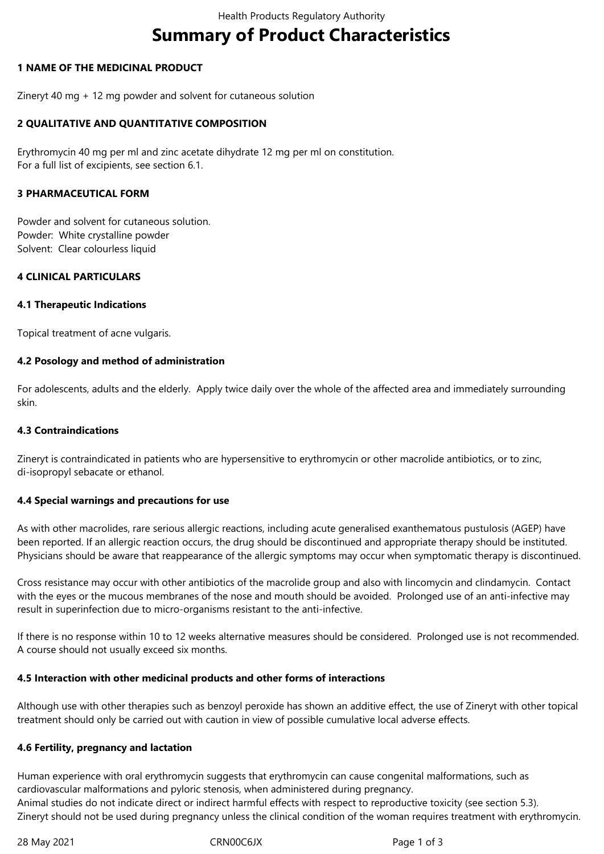# **Summary of Product Characteristics**

#### **1 NAME OF THE MEDICINAL PRODUCT**

Zineryt 40 mg + 12 mg powder and solvent for cutaneous solution

#### **2 QUALITATIVE AND QUANTITATIVE COMPOSITION**

Erythromycin 40 mg per ml and zinc acetate dihydrate 12 mg per ml on constitution. For a full list of excipients, see section 6.1.

#### **3 PHARMACEUTICAL FORM**

Powder and solvent for cutaneous solution. Powder: White crystalline powder Solvent: Clear colourless liquid

#### **4 CLINICAL PARTICULARS**

#### **4.1 Therapeutic Indications**

Topical treatment of acne vulgaris.

#### **4.2 Posology and method of administration**

For adolescents, adults and the elderly. Apply twice daily over the whole of the affected area and immediately surrounding skin.

#### **4.3 Contraindications**

Zineryt is contraindicated in patients who are hypersensitive to erythromycin or other macrolide antibiotics, or to zinc, di-isopropyl sebacate or ethanol.

#### **4.4 Special warnings and precautions for use**

As with other macrolides, rare serious allergic reactions, including acute generalised exanthematous pustulosis (AGEP) have been reported. If an allergic reaction occurs, the drug should be discontinued and appropriate therapy should be instituted. Physicians should be aware that reappearance of the allergic symptoms may occur when symptomatic therapy is discontinued.

Cross resistance may occur with other antibiotics of the macrolide group and also with lincomycin and clindamycin. Contact with the eyes or the mucous membranes of the nose and mouth should be avoided. Prolonged use of an anti-infective may result in superinfection due to micro-organisms resistant to the anti-infective.

If there is no response within 10 to 12 weeks alternative measures should be considered. Prolonged use is not recommended. A course should not usually exceed six months.

## **4.5 Interaction with other medicinal products and other forms of interactions**

Although use with other therapies such as benzoyl peroxide has shown an additive effect, the use of Zineryt with other topical treatment should only be carried out with caution in view of possible cumulative local adverse effects.

#### **4.6 Fertility, pregnancy and lactation**

Human experience with oral erythromycin suggests that erythromycin can cause congenital malformations, such as cardiovascular malformations and pyloric stenosis, when administered during pregnancy. Animal studies do not indicate direct or indirect harmful effects with respect to reproductive toxicity (see section 5.3). Zineryt should not be used during pregnancy unless the clinical condition of the woman requires treatment with erythromycin.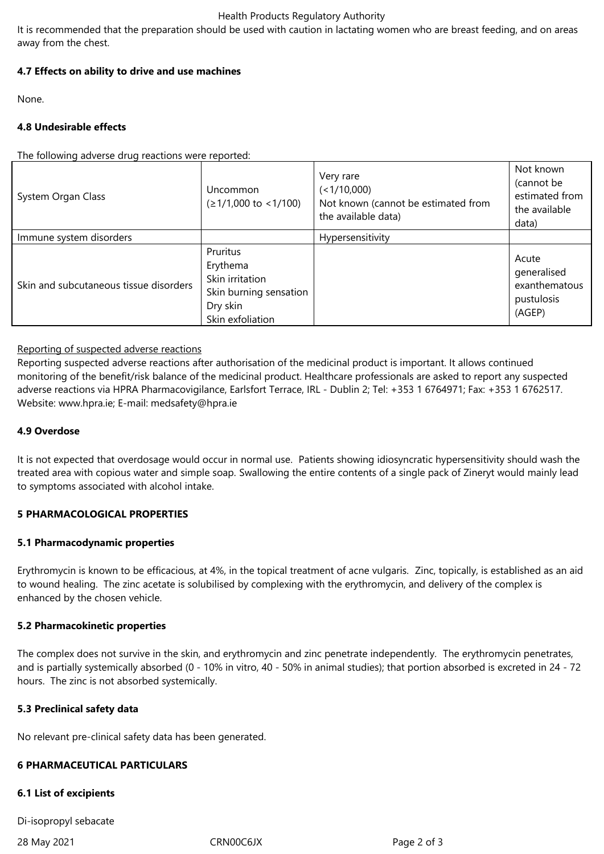#### Health Products Regulatory Authority

It is recommended that the preparation should be used with caution in lactating women who are breast feeding, and on areas away from the chest.

# **4.7 Effects on ability to drive and use machines**

None.

# **4.8 Undesirable effects**

The following adverse drug reactions were reported:

| System Organ Class                     | Uncommon<br>$( \geq 1/1,000 \text{ to } < 1/100 )$                                                | Very rare<br>(<1/10,000)<br>Not known (cannot be estimated from<br>the available data) | Not known<br>(cannot be<br>estimated from<br>the available<br>data) |
|----------------------------------------|---------------------------------------------------------------------------------------------------|----------------------------------------------------------------------------------------|---------------------------------------------------------------------|
| Immune system disorders                |                                                                                                   | Hypersensitivity                                                                       |                                                                     |
| Skin and subcutaneous tissue disorders | Pruritus<br>Erythema<br>Skin irritation<br>Skin burning sensation<br>Dry skin<br>Skin exfoliation |                                                                                        | Acute<br>generalised<br>exanthematous<br>pustulosis<br>(AGEP)       |

## Reporting of suspected adverse reactions

Reporting suspected adverse reactions after authorisation of the medicinal product is important. It allows continued monitoring of the benefit/risk balance of the medicinal product. Healthcare professionals are asked to report any suspected adverse reactions via HPRA Pharmacovigilance, Earlsfort Terrace, IRL - Dublin 2; Tel: +353 1 6764971; Fax: +353 1 6762517. Website: www.hpra.ie; E-mail: medsafety@hpra.ie

#### **4.9 Overdose**

It is not expected that overdosage would occur in normal use. Patients showing idiosyncratic hypersensitivity should wash the treated area with copious water and simple soap. Swallowing the entire contents of a single pack of Zineryt would mainly lead to symptoms associated with alcohol intake.

## **5 PHARMACOLOGICAL PROPERTIES**

## **5.1 Pharmacodynamic properties**

Erythromycin is known to be efficacious, at 4%, in the topical treatment of acne vulgaris. Zinc, topically, is established as an aid to wound healing. The zinc acetate is solubilised by complexing with the erythromycin, and delivery of the complex is enhanced by the chosen vehicle.

## **5.2 Pharmacokinetic properties**

The complex does not survive in the skin, and erythromycin and zinc penetrate independently. The erythromycin penetrates, and is partially systemically absorbed (0 - 10% in vitro, 40 - 50% in animal studies); that portion absorbed is excreted in 24 - 72 hours. The zinc is not absorbed systemically.

## **5.3 Preclinical safety data**

No relevant pre-clinical safety data has been generated.

## **6 PHARMACEUTICAL PARTICULARS**

#### **6.1 List of excipients**

Di-isopropyl sebacate

28 May 2021 CRN00C6JX Page 2 of 3